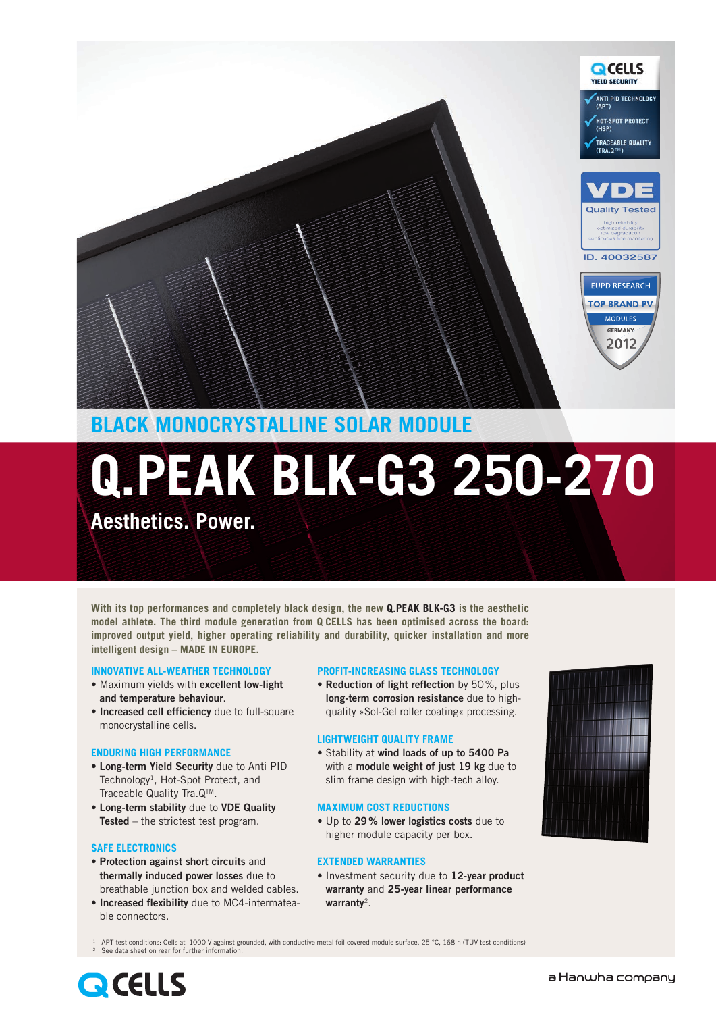

### **BLACK MONOCRYSTALLINE SOLAR MODULE**

# **Q.PEAK BLK-G3 250-270**

**Aesthetics. Power.** 

**With its top performances and completely black design, the new Q.PEAK BLK-G3 is the aesthetic model athlete. The third module generation from Q CELLS has been optimised across the board: improved output yield, higher operating reliability and durability, quicker installation and more intelligent design – MADE IN EUROPE.**

#### **INNOVATIVE ALL-WEATHER TECHNOLOGY**

- **•** Maximum yields with **excellent low-light and temperature behaviour**.
- **• Increased cell efficiency** due to full-square monocrystalline cells.

#### **ENDURING HIGH PERFORMANCE**

- **• Long-term Yield Security** due to Anti PID Technology<sup>1</sup>, Hot-Spot Protect, and Traceable Quality Tra.QTM.
- **• Long-term stability** due to **VDE Quality Tested** – the strictest test program.

#### **SAFE ELECTRONICS**

- **• Protection against short circuits** and **thermally induced power losses** due to breathable junction box and welded cables.
- **• Increased flexibility** due to MC4-intermateable connectors.

#### **PROFIT-INCREASING GLASS TECHNOLOGY**

**• Reduction of light reflection** by 50%, plus **long-term corrosion resistance** due to highquality »Sol-Gel roller coating« processing.

#### **LIGHTWEIGHT QUALITY FRAME**

**•** Stability at **wind loads of up to 5400 Pa** with a **module weight of just 19 kg** due to slim frame design with high-tech alloy.

#### **MAXIMUM COST REDUCTIONS**

**•** Up to **29% lower logistics costs** due to higher module capacity per box.

#### **EXTENDED WARRANTIES**

**•** Investment security due to **12-year product warranty** and **25-year linear performance warranty**2.



APT test conditions: Cells at -1000 V against grounded, with conductive metal foil covered module surface, 25 °C, 168 h (TÜV test conditions) See data sheet on rear for further information

## **QCELLS**

#### a Hanwha company